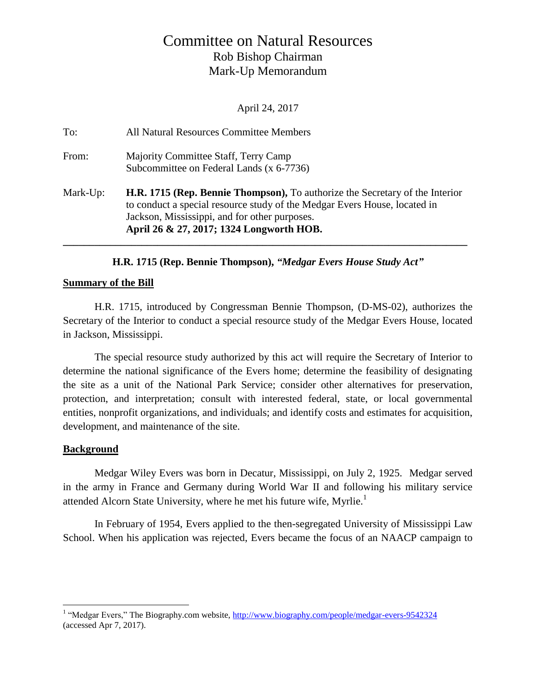# Committee on Natural Resources Rob Bishop Chairman Mark-Up Memorandum

April 24, 2017

| To:      | All Natural Resources Committee Members                                                                                                                                                                                                                       |
|----------|---------------------------------------------------------------------------------------------------------------------------------------------------------------------------------------------------------------------------------------------------------------|
| From:    | Majority Committee Staff, Terry Camp<br>Subcommittee on Federal Lands (x 6-7736)                                                                                                                                                                              |
| Mark-Up: | <b>H.R. 1715 (Rep. Bennie Thompson),</b> To authorize the Secretary of the Interior<br>to conduct a special resource study of the Medgar Evers House, located in<br>Jackson, Mississippi, and for other purposes.<br>April 26 & 27, 2017; 1324 Longworth HOB. |

### **H.R. 1715 (Rep. Bennie Thompson),** *"Medgar Evers House Study Act"*

#### **Summary of the Bill**

H.R. 1715, introduced by Congressman Bennie Thompson, (D-MS-02), authorizes the Secretary of the Interior to conduct a special resource study of the Medgar Evers House, located in Jackson, Mississippi.

The special resource study authorized by this act will require the Secretary of Interior to determine the national significance of the Evers home; determine the feasibility of designating the site as a unit of the National Park Service; consider other alternatives for preservation, protection, and interpretation; consult with interested federal, state, or local governmental entities, nonprofit organizations, and individuals; and identify costs and estimates for acquisition, development, and maintenance of the site.

### **Background**

 $\overline{a}$ 

Medgar Wiley Evers was born in Decatur, Mississippi, on July 2, 1925. Medgar served in the army in France and Germany during World War II and following his military service attended Alcorn State University, where he met his future wife, Myrlie.<sup>1</sup>

In February of 1954, Evers applied to the then-segregated University of Mississippi Law School. When his application was rejected, Evers became the focus of an NAACP campaign to

<sup>&</sup>lt;sup>1</sup> "Medgar Evers," The Biography.com website, http://www.biography.com/people/medgar-evers-9542324 (accessed Apr 7, 2017).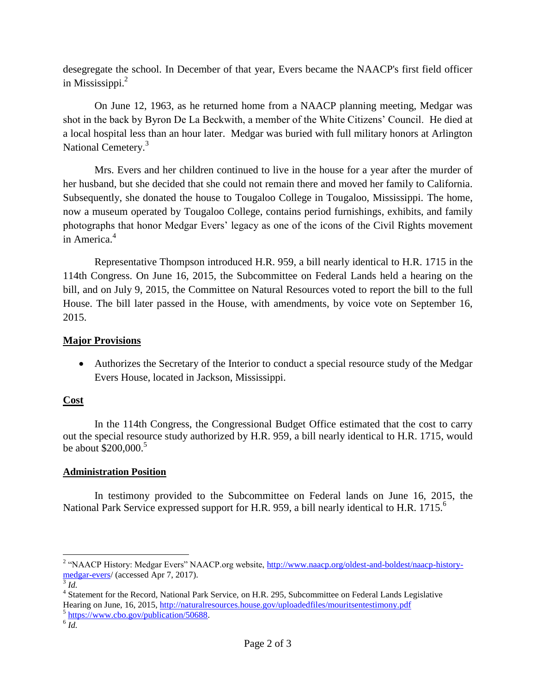desegregate the school. In December of that year, Evers became the NAACP's first field officer in Mississippi.<sup>2</sup>

On June 12, 1963, as he returned home from a NAACP planning meeting, Medgar was shot in the back by Byron De La Beckwith, a member of the White Citizens' Council. He died at a local hospital less than an hour later. Medgar was buried with full military honors at Arlington National Cemetery.<sup>3</sup>

Mrs. Evers and her children continued to live in the house for a year after the murder of her husband, but she decided that she could not remain there and moved her family to California. Subsequently, she donated the house to Tougaloo College in Tougaloo, Mississippi. The home, now a museum operated by Tougaloo College, contains period furnishings, exhibits, and family photographs that honor Medgar Evers' legacy as one of the icons of the Civil Rights movement in America.<sup>4</sup>

Representative Thompson introduced H.R. 959, a bill nearly identical to H.R. 1715 in the 114th Congress. On June 16, 2015, the Subcommittee on Federal Lands held a hearing on the bill, and on July 9, 2015, the Committee on Natural Resources voted to report the bill to the full House. The bill later passed in the House, with amendments, by voice vote on September 16, 2015.

### **Major Provisions**

 Authorizes the Secretary of the Interior to conduct a special resource study of the Medgar Evers House, located in Jackson, Mississippi.

## **Cost**

In the 114th Congress, the Congressional Budget Office estimated that the cost to carry out the special resource study authorized by H.R. 959, a bill nearly identical to H.R. 1715, would be about  $$200,000.<sup>5</sup>$ 

## **Administration Position**

In testimony provided to the Subcommittee on Federal lands on June 16, 2015, the National Park Service expressed support for H.R. 959, a bill nearly identical to H.R. 1715.<sup>6</sup>

<sup>&</sup>lt;sup>2</sup> "NAACP History: Medgar Evers" NAACP.org website, [http://www.naacp.org/oldest-and-boldest/naacp-history](http://www.naacp.org/oldest-and-boldest/naacp-history-medgar-evers)[medgar-evers/](http://www.naacp.org/oldest-and-boldest/naacp-history-medgar-evers) (accessed Apr 7, 2017).

<sup>3</sup> *Id.*

<sup>&</sup>lt;sup>4</sup> Statement for the Record, National Park Service, on H.R. 295, Subcommittee on Federal Lands Legislative Hearing on June, 16, 2015[, http://naturalresources.house.gov/uploadedfiles/mouritsentestimony.pdf](http://naturalresources.house.gov/uploadedfiles/mouritsentestimony.pdf)

<sup>&</sup>lt;sup>5</sup> [https://www.cbo.gov/publication/50688.](https://www.cbo.gov/publication/50688)

<sup>6</sup> *Id.*